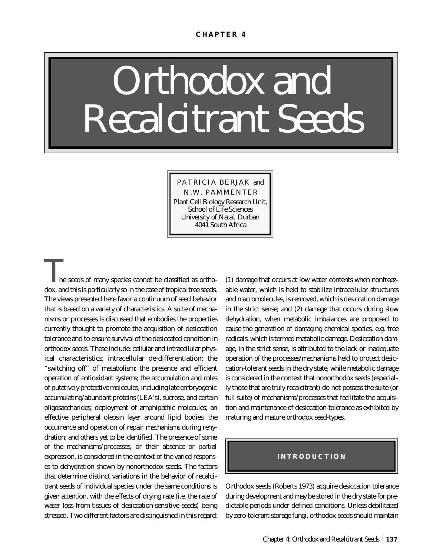# *Orthodox and Recalcitrant Seeds*

PATRICIA BERJAK and N.W. PAMMENTER Plant Cell Biology Research Unit, School of Life Sciences University of Natal, Durban 4041 South Africa

*T*he seeds of many species cannot be classified as orthodox, and this is particularly so in the case of tropical tree seeds. The views presented here favor a continuum of seed behavior that is based on a variety of characteristics. A suite of mechanisms or processes is discussed that embodies the properties currently thought to promote the acquisition of desiccation tolerance and to ensure survival of the desiccated condition in orthodox seeds. These include: cellular and intracellular physical characteristics; intracellular de-differentiation; the "switching off" of metabolism; the presence and efficient operation of antioxidant systems; the accumulation and roles of putatively protective molecules, including late embryogenic accumulating/abundant proteins (LEA's), sucrose, and certain oligosaccharides; deployment of amphipathic molecules; an effective peripheral oleosin layer around lipid bodies; the occurrence and operation of repair mechanisms during rehydration; and others yet to be identified. The presence of some of the mechanisms/processes, or their absence or partial expression, is considered in the context of the varied responses to dehydration shown by nonorthodox seeds. The factors that determine distinct variations in the behavior of recalcitrant seeds of individual species under the same conditions is given attention, with the effects of drying rate (i.e. the rate of water loss from tissues of desiccation-sensitive seeds) being stressed. Two different factors are distinguished in this regard:

(1) damage that occurs at low water contents when nonfreezable water, which is held to stabilize intracellular structures and macromolecules, is removed, which is desiccation damage in the strict sense; and (2) damage that occurs during slow dehydration, when metabolic imbalances are proposed to cause the generation of damaging chemical species, e.g. free radicals, which is termed metabolic damage. Desiccation damage, in the strict sense, is attributed to the lack or inadequate operation of the processes/mechanisms held to protect desiccation-tolerant seeds in the dry state, while metabolic damage is considered in the context that nonorthodox seeds (especially those that are truly recalcitrant) do not possess the suite (or full suite) of mechanisms/processes that facilitate the acquisition and maintenance of desiccation-tolerance as exhibited by maturing and mature orthodox seed-types.

#### **INTRODUCTION**

Orthodox seeds (Roberts 1973) acquire desiccation tolerance during development and may be stored in the dry state for predictable periods under defined conditions. Unless debilitated by zero-tolerant storage fungi, orthodox seeds should maintain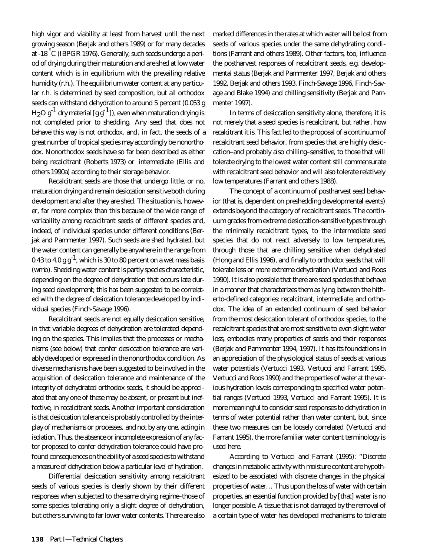high vigor and viability at least from harvest until the next growing season (Berjak and others 1989) or for many decades at -18 °C (IBPGR 1976). Generally, such seeds undergo a period of drying during their maturation and are shed at low water content which is in equilibrium with the prevailing relative humidity (r.h.). The equilibrium water content at any particular r.h. is determined by seed composition, but all orthodox seeds can withstand dehydration to around 5 percent (0.053 g  $H_2O g^{-1}$  dry material [g g<sup>-1</sup>]), even when maturation drying is not completed prior to shedding. *Any seed that does not behave this way is not orthodox*, and, in fact, the seeds of a great number of tropical species may accordingly be *nonorthodox*. Nonorthodox seeds have so far been described as either being *recalcitrant* (Roberts 1973) or *intermediate* (Ellis and others 1990a) according to their storage behavior.

Recalcitrant seeds are those that undergo little, or no, maturation drying and *remain desiccation sensitive* both during development and after they are shed. The situation is, however, far more complex than this because of the wide range of variability among recalcitrant seeds of different species and, indeed, of individual species under different conditions (Berjak and Pammenter 1997). Such seeds are shed hydrated, but the water content can generally be anywhere in the range from 0.43 to 4.0 g  $g^{-1}$ , which is 30 to 80 percent on a wet mass basis (wmb). Shedding water content is partly species characteristic, depending on the degree of dehydration that occurs late during seed development; this has been suggested to be correlated with the *degree of desiccation tolerance* developed by individual species (Finch-Savage 1996).

Recalcitrant seeds are not equally desiccation sensitive, in that variable degrees of dehydration are tolerated depending on the species. This implies that the processes or mechanisms (see below) that confer desiccation tolerance are variably developed or expressed in the nonorthodox condition. As diverse mechanisms have been suggested to be involved in the acquisition of desiccation tolerance and maintenance of the integrity of dehydrated orthodox seeds, it should be appreciated that any one of these may be absent, or present but ineffective, in recalcitrant seeds. Another important consideration is that desiccation tolerance is probably controlled by the *interplay* of mechanisms or processes, *and not by any one, acting in isolation*. Thus, the absence or incomplete expression of any factor proposed to confer dehydration tolerance could have profound consequences on the ability of a seed species to withstand a measure of dehydration below a particular level of hydration.

Differential desiccation sensitivity among recalcitrant seeds of various species is clearly shown by their different responses when subjected to the same drying regime–those of some species tolerating only a slight degree of dehydration, but others surviving to far lower water contents. There are also

marked differences in the rates at which water will be lost from seeds of various species under the same dehydrating conditions (Farrant and others 1989). Other factors, too, influence the postharvest responses of recalcitrant seeds, e.g. developmental status (Berjak and Pammenter 1997, Berjak and others 1992, Berjak and others 1993, Finch-Savage 1996, Finch-Savage and Blake 1994) and chilling sensitivity (Berjak and Pammenter 1997).

In terms of desiccation sensitivity alone, therefore, it is not merely that a seed species *is* recalcitrant, but rather, *how recalcitrant* it is. This fact led to the proposal of a continuum of recalcitrant seed behavior, from species that are highly desiccation–and probably also chilling–sensitive, to those that will tolerate drying to the lowest water content still commensurate with recalcitrant seed behavior and will also tolerate relatively low temperatures (Farrant and others 1988).

The concept of a continuum of postharvest seed behavior (that is, dependent on preshedding developmental events) extends beyond the category of recalcitrant seeds. The continuum grades from extreme desiccation-sensitive types through the minimally recalcitrant types, to the intermediate seed species that do not react adversely to low temperatures, through those that are chilling sensitive when dehydrated (Hong and Ellis 1996), and finally to orthodox seeds that will tolerate less or more extreme dehydration (Vertucci and Roos 1990). It is also possible that there are seed species that behave in a manner that characterizes them as lying *between* the hitherto-defined categories: recalcitrant, intermediate, and orthodox. The idea of an extended continuum of seed behavior from the most desiccation tolerant of orthodox species, to the recalcitrant species that are most sensitive to even slight water loss, embodies many properties of seeds and their responses (Berjak and Pammenter 1994, 1997). It has its foundations in an appreciation of the physiological status of seeds at various water potentials (Vertucci 1993, Vertucci and Farrant 1995, Vertucci and Roos 1990) and the properties of water at the various hydration levels corresponding to specified water potential ranges (Vertucci 1993, Vertucci and Farrant 1995). It is more meaningful to consider seed responses to dehydration in terms of water potential rather than water content, but, since these two measures can be loosely correlated (Vertucci and Farrant 1995), the more familiar water content terminology is used here.

According to Vertucci and Farrant (1995): "Discrete changes in metabolic activity with moisture content are hypothesized to be associated with discrete changes in the physical properties of water… Thus upon the loss of water with certain properties, an essential function provided by [that] water is no longer possible. A tissue that is not damaged by the removal of a certain type of water has developed mechanisms to tolerate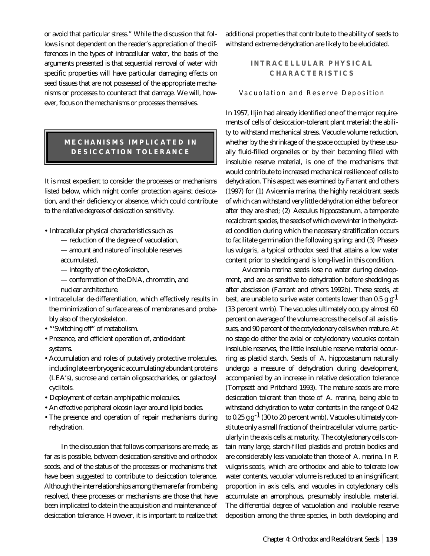or avoid that particular stress." While the discussion that follows is not dependent on the reader's appreciation of the differences in the types of intracellular water, the basis of the arguments presented is that sequential removal of water with specific properties will have particular damaging effects on seed tissues that are not possessed of the appropriate mechanisms or processes to counteract that damage. We will, however, focus on the mechanisms or processes themselves.

## **MECHANISMS IMPLICATED IN DESICCATION TOLERANCE**

It is most expedient to consider the processes or mechanisms listed below, which might confer protection against desiccation, and their deficiency or absence, which could contribute to the *relative degrees of desiccation sensitivity*.

- Intracellular physical characteristics such as
	- reduction of the degree of vacuolation,
	- amount and nature of insoluble reserves accumulated,
	- integrity of the cytoskeleton,
	- conformation of the DNA, chromatin, and nuclear architecture.
- Intracellular de-differentiation, which effectively results in the minimization of surface areas of membranes and probably also of the cytoskeleton.
- "'Switching off" of metabolism.
- Presence, and efficient operation of, antioxidant systems.
- Accumulation and roles of putatively protective molecules, including late embryogenic accumulating/abundant proteins (LEA's), sucrose and certain oligosaccharides, or galactosyl cyclitols.
- Deployment of certain amphipathic molecules.
- An effective peripheral oleosin layer around lipid bodies.
- The presence and operation of repair mechanisms during rehydration.

In the discussion that follows comparisons are made, as far as is possible, between desiccation-sensitive and orthodox seeds, and of the status of the processes or mechanisms that have been suggested to contribute to desiccation tolerance. Although the interrelationships among them are far from being resolved, these processes or mechanisms are those that have been implicated to date in the acquisition and maintenance of desiccation tolerance. However, it is important to realize that

additional properties that contribute to the ability of seeds to withstand extreme dehydration are likely to be elucidated.

## **INTRACELLULAR PHYSICAL CHARACTERISTICS**

#### Vacuolation and Reserve Deposition

In 1957, Iljin had already identified one of the major requirements of cells of desiccation-tolerant plant material: the ability to withstand mechanical stress. Vacuole volume reduction, whether by the shrinkage of the space occupied by these usually fluid-filled organelles or by their becoming filled with insoluble reserve material, is one of the mechanisms that would contribute to increased mechanical resilience of cells to dehydration. This aspect was examined by Farrant and others (1997) for (1) *Avicennia marina*, the highly recalcitrant seeds of which can withstand very little dehydration either before or after they are shed; (2) *Aesculus hippocastanum*, a temperate recalcitrant species, the seeds of which overwinter in the hydrated condition during which the necessary stratification occurs to facilitate germination the following spring; and (3) *Phaseolus vulgaris*, a typical orthodox seed that attains a low water content prior to shedding and is long-lived in this condition.

*Avicennia marina* seeds lose no water during development, and are as sensitive to dehydration before shedding as after abscission (Farrant and others 1992b). These seeds, at best, are unable to surive water contents lower than 0.5 g  $g<sup>1</sup>$ (33 percent wmb). The vacuoles ultimately occupy almost 60 percent on average of the volume across the cells of all axis tissues, and 90 percent of the cotyledonary cells when mature. At no stage do either the axial or cotyledonary vacuoles contain insoluble reserves, the little insoluble reserve material occurring as plastid starch. Seeds of *A. hippocastanum* naturally undergo a measure of dehydration during development, accompanied by an increase in relative desiccation tolerance (Tompsett and Pritchard 1993). The mature seeds are more desiccation tolerant than those of *A. marina*, being able to withstand dehydration to water contents in the range of 0.42 to 0.25  $g g^{-1}$  (30 to 20 percent wmb). Vacuoles ultimately constitute only a small fraction of the intracellular volume, particularly in the axis cells at maturity. The cotyledonary cells contain many large, starch-filled plastids and protein bodies and are considerably less vacuolate than those of *A. marina*. In *P. vulgaris* seeds, which are orthodox and able to tolerate low water contents, vacuolar volume is reduced to an insignificant proportion in axis cells, and vacuoles in cotyledonary cells accumulate an amorphous, presumably insoluble, material. The differential degree of vacuolation and insoluble reserve deposition among the three species, in both developing and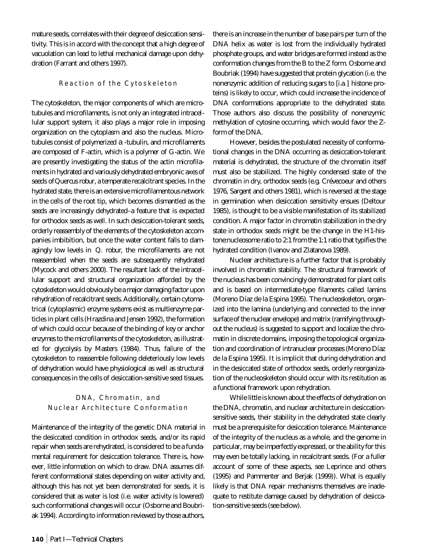mature seeds, correlates with their degree of desiccation sensitivity. This is in accord with the concept that a high degree of vacuolation can lead to lethal mechanical damage upon dehydration (Farrant and others 1997).

#### Reaction of the Cytoskeleton

The cytoskeleton, the major components of which are microtubules and microfilaments, is not only an integrated intracellular support system, it also plays a major role in imposing organization on the cytoplasm and also the nucleus. Microtubules consist of polymerized a -tubulin, and microfilaments are composed of F-actin, which is a polymer of G-actin. We are presently investigating the status of the actin microfilaments in hydrated and variously dehydrated embryonic axes of seeds of *Quercus robur*, a temperate recalcitrant species. In the hydrated state, there is an extensive microfilamentous network in the cells of the root tip, which becomes dismantled as the seeds are increasingly dehydrated–a feature that is expected for orthodox seeds as well. In such desiccation-tolerant seeds, orderly reassembly of the elements of the cytoskeleton accompanies imbibition, but once the water content falls to damagingly low levels in *Q. robur*, the microfilaments are not reassembled when the seeds are subsequently rehydrated (Mycock and others 2000). The resultant lack of the intracellular support and structural organization afforded by the cytoskeleton would obviously be a major damaging factor upon rehydration of recalcitrant seeds. Additionally, certain cytomatrical (cytoplasmic) enzyme systems exist as multienzyme particles in plant cells (Hrazdina and Jensen 1992), the formation of which could occur because of the binding of key or anchor enzymes to the microfilaments of the cytoskeleton, as illustrated for glycolysis by Masters (1984). Thus, failure of the cytoskeleton to reassemble following deleteriously low levels of dehydration would have physiological as well as structural consequences in the cells of desiccation-sensitive seed tissues.

#### DNA, Chromatin, and Nuclear Architecture Conformation

Maintenance of the integrity of the genetic DNA material in the desiccated condition in orthodox seeds, and/or its rapid repair when seeds are rehydrated, is considered to be a fundamental requirement for desiccation tolerance. There is, however, little information on which to draw. DNA assumes different conformational states depending on water activity and, although this has not yet been demonstrated for seeds, it is considered that as water is lost (i.e. water activity is lowered) such conformational changes will occur (Osborne and Boubriak 1994). According to information reviewed by those authors,

there is an increase in the number of base pairs per turn of the DNA helix as water is lost from the individually hydrated phosphate groups, and water bridges are formed instead as the conformation changes from the B to the Z form. Osborne and Boubriak (1994) have suggested that protein glycation (i.e. the nonenzymic addition of reducing sugars to [*i.a.*] histone proteins) is likely to occur, which could increase the incidence of DNA conformations appropriate to the dehydrated state. Those authors also discuss the possibility of nonenzymic methylation of cytosine occurring, which would favor the Zform of the DNA.

However, besides the postulated necessity of conformational changes in the DNA occurring as desiccation-tolerant material is dehydrated, the structure of the chromatin itself must also be stabilized. The highly condensed state of the chromatin in dry, orthodox seeds (e.g. Crévecoeur and others 1976, Sargent and others 1981), which is reversed at the stage in germination when desiccation sensitivity ensues (Deltour 1985), is thought to be a visible manifestation of its stabilized condition. A major factor in chromatin stabilization in the dry state in orthodox seeds might be the change in the H1-histone:nucleosome ratio to 2:1 from the 1:1 ratio that typifies the hydrated condition (Ivanov and Zlatanova 1989).

Nuclear architecture is a further factor that is probably involved in chromatin stability. The structural framework of the nucleus has been convincingly demonstrated for plant cells and is based on intermediate-type filaments called lamins (Moreno Díaz de la Espina 1995). The nucleoskeleton, organized into the lamina (underlying and connected to the inner surface of the nuclear envelope) and matrix (ramifying throughout the nucleus) is suggested to support and localize the chromatin in discrete domains, imposing the topological organization and coordination of intranuclear processes (Moreno Díaz de la Espina 1995). It is implicit that during dehydration and in the desiccated state of orthodox seeds, orderly reorganization of the nucleoskeleton should occur with its restitution as a functional framework upon rehydration.

While little is known about the effects of dehydration on the DNA, chromatin, and nuclear architecture in desiccationsensitive seeds, their stability in the dehydrated state clearly must be a prerequisite for desiccation tolerance. Maintenance of the integrity of the nucleus as a whole, and the genome in particular, may be imperfectly expressed, or the ability for this may even be totally lacking, in recalcitrant seeds. (For a fuller account of some of these aspects, see Leprince and others (1995) and Pammenter and Berjak (1999)). What is equally likely is that DNA repair mechanisms themselves are inadequate to restitute damage caused by dehydration of desiccation-sensitive seeds (see below).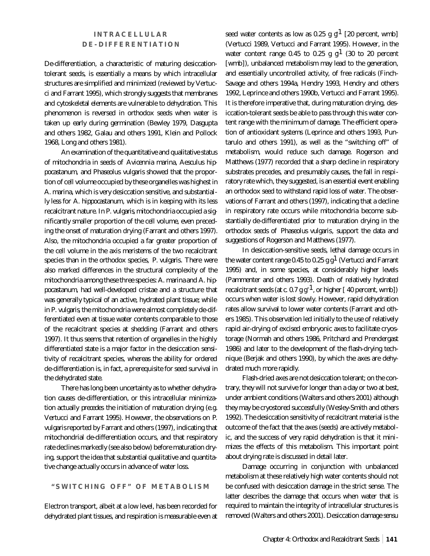## **INTRACELLULAR DE-DIFFERENTIATION**

De-differentiation, a characteristic of maturing desiccationtolerant seeds, is essentially a means by which intracellular structures are simplified and minimized (reviewed by Vertucci and Farrant 1995), which strongly suggests that membranes and cytoskeletal elements are vulnerable to dehydration. This phenomenon is reversed in orthodox seeds when water is taken up early during germination (Bewley 1979, Dasgupta and others 1982, Galau and others 1991, Klein and Pollock 1968, Long and others 1981).

An examination of the quantitative and qualitative status of mitochondria in seeds of *Avicennia marina*, *Aesculus hippocastanum,* and *Phaseolus vulgaris* showed that the proportion of cell volume occupied by these organelles was highest in *A. marina*, which is very desiccation sensitive, and substantially less for *A. hippocastanum*, which is in keeping with its less recalcitrant nature. In *P. vulgaris*, mitochondria occupied a significantly smaller proportion of the cell volume, even preceding the onset of maturation drying (Farrant and others 1997). Also, the mitochondria occupied a far greater proportion of the cell volume in the axis meristems of the two recalcitrant species than in the orthodox species, *P. vulgaris*. There were also marked differences in the structural complexity of the mitochondria among these three species: *A. marina* and *A. hippocastanum*, had well-developed cristae and a structure that was generally typical of an active, hydrated plant tissue; while in *P. vulgaris*, the mitochondria were almost completely de-differentiated even at tissue water contents comparable to those of the recalcitrant species at shedding (Farrant and others 1997). It thus seems that retention of organelles in the highly differentiated state is a major factor in the desiccation sensitivity of recalcitrant species, whereas the ability for ordered de-differentiation is, in fact, a prerequisite for seed survival in the dehydrated state.

There has long been uncertainty as to whether dehydration *causes* de-differentiation, or this intracellular minimization actually *precedes* the initiation of maturation drying (e.g. Vertucci and Farrant 1995). However, the observations on *P. vulgaris*reported by Farrant and others (1997), indicating that mitochondrial de-differentiation occurs, and that respiratory rate declines markedly (see also below) before maturation drying, support the idea that substantial qualitative and quantitative change actually occurs in advance of water loss.

**"SWITCHING OFF" OF METABOLISM**

Electron transport, albeit at a low level, has been recorded for dehydrated plant tissues, and respiration is measurable even at

seed water contents as low as 0.25 g  $g<sup>1</sup>$  [20 percent, wmb] (Vertucci 1989, Vertucci and Farrant 1995). However, in the water content range 0.45 to 0.25 g  $g<sup>1</sup>$  (30 to 20 percent [wmb]), unbalanced metabolism may lead to the generation, and essentially uncontrolled activity, of free radicals (Finch-Savage and others 1994a, Hendry 1993, Hendry and others 1992, Leprince and others 1990b, Vertucci and Farrant 1995). It is therefore imperative that, during maturation drying, desiccation-tolerant seeds be able to pass through this water content range with the minimum of damage. The efficient operation of antioxidant systems (Leprince and others 1993, Puntarulo and others 1991), as well as the "switching off" of metabolism, would reduce such damage. Rogerson and Matthews (1977) recorded that a sharp decline in respiratory substrates precedes, and presumably causes, the fall in respiratory rate which, they suggested, is an essential event enabling an orthodox seed to withstand rapid loss of water. The observations of Farrant and others (1997), indicating that a decline in respiratory rate occurs while mitochondria become substantially de-differentiated *prior* to maturation drying in the orthodox seeds of *Phaseolus vulgaris*, support the data and suggestions of Rogerson and Matthews (1977).

In desiccation-sensitive seeds, lethal damage occurs in the water content range 0.45 to 0.25 g  $g<sup>1</sup>$  (Vertucci and Farrant 1995) and, in some species, at considerably higher levels (Pammenter and others 1993). Death of relatively hydrated recalcitrant seeds (at  $c$ . 0.7 g  $g^{-1}$ , or higher [40 percent, wmb]) occurs when water is lost slowly. However, rapid dehydration rates allow survival to lower water contents (Farrant and others 1985). This observation led initially to the use of relatively rapid air-drying of excised embryonic axes to facilitate cryostorage (Normah and others 1986, Pritchard and Prendergast 1986) and later to the development of the flash-drying technique (Berjak and others 1990), by which the axes are dehydrated much more rapidly.

Flash-dried axes are *not* desiccation tolerant; on the contrary, they will not survive for longer than a day or two at best, under ambient conditions (Walters and others 2001) although they may be cryostored successfully (Wesley-Smith and others 1992). The desiccation sensitivity of recalcitrant material is the outcome of the fact that the axes (seeds) are actively metabolic, and the success of very rapid dehydration is that it minimizes the effects of this metabolism. This important point about drying rate is discussed in detail later.

Damage occurring in conjunction with unbalanced metabolism at these relatively high water contents should not be confused with desiccation damage in the strict sense. The latter describes the damage that occurs when water that is required to maintain the integrity of intracellular structures is removed (Walters and others 2001). Desiccation damage *sensu*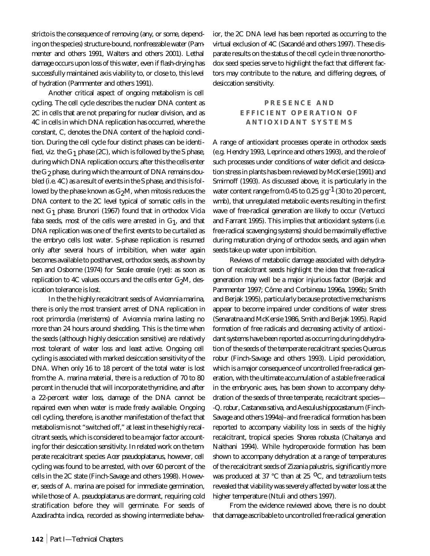*stricto* is the consequence of removing (any, or some, depending on the species) structure-bound, nonfreezable water (Pammenter and others 1991, Walters and others 2001). Lethal damage occurs upon loss of this water, even if flash-drying has successfully maintained axis viability to, or close to, this level of hydration (Pammenter and others 1991).

Another critical aspect of ongoing metabolism is cell cycling. The cell cycle describes the nuclear DNA content as 2C in cells that are not preparing for nuclear division, and as 4C in cells in which DNA replication has occurred, where the constant, C, denotes the DNA content of the haploid condition. During the cell cycle four distinct phases can be identified, *viz.* the  $G_1$  phase (2C), which is followed by the S phase, during which DNA replication occurs; after this the cells enter the  $\mathrm{G}_2$  phase, during which the amount of DNA remains doubled (i.e. 4C) as a result of events in the S phase, and this is followed by the phase known as  $G_2M$ , when mitosis reduces the DNA content to the 2C level typical of somatic cells in the next G1 phase. Brunori (1967) found that in orthodox *Vicia*  $faba$  seeds, most of the cells were arrested in  $G_1$ , and that DNA replication was one of the first events to be curtailed as the embryo cells lost water. S-phase replication is resumed only after several hours of imbibition, when water again becomes available to postharvest, orthodox seeds, as shown by Sen and Osborne (1974) for *Secale cereale* (rye): as soon as replication to  $4C$  values occurs and the cells enter  $G_2M$ , desiccation tolerance is lost.

In the the highly recalcitrant seeds of *Avicennia marina*, there is only the most transient arrest of DNA replication in root primordia (meristems) of *Avicennia marina* lasting no more than 24 hours around shedding. This is the time when the seeds (although highly desiccation sensitive) are *relatively* most tolerant of water loss and least active. Ongoing cell cycling is associated with marked desiccation sensitivity of the DNA. When only 16 to 18 percent of the total water is lost from the *A. marina* material, there is a reduction of 70 to 80 percent in the nuclei that will incorporate thymidine, and after a 22-percent water loss, damage of the DNA cannot be repaired even when water is made freely available. Ongoing cell cycling, therefore, is another manifestation of the fact that metabolism is not "switched off," at least in these highly recalcitrant seeds, which is considered to be a major factor accounting for their desiccation sensitivity. In related work on the temperate recalcitrant species *Acer pseudoplatanus*, however, cell cycling was found to be arrested, with over 60 percent of the cells in the 2C state (Finch-Savage and others 1998). However, seeds of *A. marina* are poised for immediate germination, while those of *A. pseudoplatanus* are dormant, requiring cold stratification before they will germinate. For seeds of *Azadirachta indica,* recorded as showing intermediate behavior, the 2C DNA level has been reported as occurring to the virtual exclusion of 4C (Sacandé and others 1997). These disparate results on the status of the cell cycle in three nonorthodox seed species serve to highlight the fact that different factors may contribute to the nature, and differing degrees, of desiccation sensitivity.

## **PRESENCE AND EFFICIENT OPERATION OF ANTIOXIDANT SYSTEMS**

A range of antioxidant processes operate in orthodox seeds (e.g. Hendry 1993, Leprince and others 1993), and the role of such processes under conditions of water deficit and desiccation stress in plants has been reviewed by McKersie (1991) and Smirnoff (1993). As discussed above, it is particularly in the water content range from 0.45 to 0.25 g  $g^{-1}$  (30 to 20 percent, wmb), that unregulated metabolic events resulting in the first wave of free-radical generation are likely to occur (Vertucci and Farrant 1995). This implies that antioxidant systems (i.e. free-radical scavenging systems) should be maximally effective during maturation drying of orthodox seeds, and again when seeds take up water upon imbibition.

Reviews of metabolic damage associated with dehydration of recalcitrant seeds highlight the idea that free-radical generation may well be a major injurious factor (Berjak and Pammenter 1997; Côme and Corbineau 1996a, 1996b; Smith and Berjak 1995), particularly because protective mechanisms appear to become impaired under conditions of water stress (Senaratna and McKersie 1986, Smith and Berjak 1995). Rapid formation of free radicals and decreasing activity of antioxidant systems have been reported as occurring during dehydration of the seeds of the temperate recalcitrant species *Quercus robur* (Finch-Savage and others 1993). Lipid peroxidation, which is a major consequence of uncontrolled free-radical generation, with the ultimate accumulation of a stable free radical in the embryonic axes, has been shown to accompany dehydration of the seeds of three temperate, recalcitrant species— -*Q. robur*, *Castanea sativa,* and *Aesculus hippocastanum* (Finch-Savage and others 1994a)–and free radical formation has been reported to accompany viability loss in seeds of the highly recalcitrant, tropical species *Shorea robusta* (Chaitanya and Naithani 1994). While hydroperoxide formation has been shown to accompany dehydration at a range of temperatures of the recalcitrant seeds of *Zizania palustris*, significantly more was produced at 37 °C than at 25 °C, and tetrazolium tests revealed that viability was severely affected by water loss at the higher temperature (Ntuli and others 1997).

From the evidence reviewed above, there is no doubt that damage ascribable to uncontrolled free-radical generation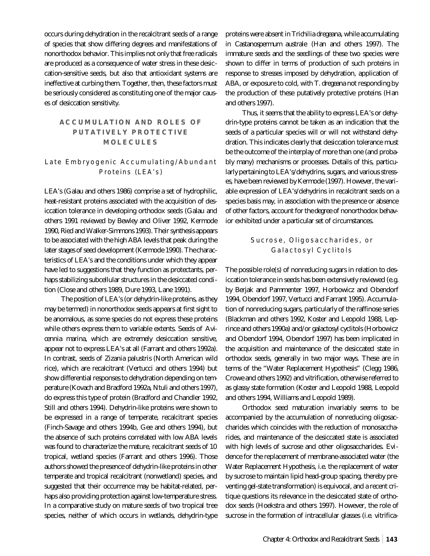occurs during dehydration in the recalcitrant seeds of a range of species that show differing degrees and manifestations of nonorthodox behavior. This implies not only that free radicals are produced as a consequence of water stress in these desiccation-sensitive seeds, but also that antioxidant systems are ineffective at curbing them. Together, then, these factors must be seriously considered as constituting one of the major causes of desiccation sensitivity.

## **ACCUMULATION AND ROLES OF PUTATIVELY PROTECTIVE MOLECULES**

## Late Embryogenic Accumulating/Abundant Proteins (LEA's)

LEA's (Galau and others 1986) comprise a set of hydrophilic, heat-resistant proteins associated with the acquisition of desiccation tolerance in developing orthodox seeds (Galau and others 1991 reviewed by Bewley and Oliver 1992, Kermode 1990, Ried and Walker-Simmons 1993). Their synthesis appears to be associated with the high ABA levels that peak during the later stages of seed development (Kermode 1990). The characteristics of LEA's and the conditions under which they appear have led to suggestions that they function as protectants, perhaps stabilizing subcellular structures in the desiccated condition (Close and others 1989, Dure 1993, Lane 1991).

The position of LEA's (or dehydrin-like proteins, as they may be termed) in nonorthodox seeds appears at first sight to be anomalous, as some species do not express these proteins while others express them to variable extents. Seeds of *Avicennia marina*, which are extremely desiccation sensitive, appear not to express LEA's at all (Farrant and others 1992a). In contrast, seeds of *Zizania palustris* (North American wild rice), which are recalcitrant (Vertucci and others 1994) but show differential responses to dehydration depending on temperature (Kovach and Bradford 1992a, Ntuli and others 1997), do express this type of protein (Bradford and Chandler 1992, Still and others 1994). Dehydrin-like proteins were shown to be expressed in a range of temperate, recalcitrant species (Finch-Savage and others 1994b, Gee and others 1994), but the absence of such proteins correlated with low ABA levels was found to characterize the mature, recalcitrant seeds of 10 tropical, wetland species (Farrant and others 1996). Those authors showed the presence of dehydrin-like proteins in other temperate and tropical recalcitrant (nonwetland) species, and suggested that their occurrence may be habitat-related, perhaps also providing protection against low-temperature stress. In a comparative study on mature seeds of two tropical tree species, neither of which occurs in wetlands, dehydrin-type proteins were absent in *Trichilia dregeana*, while accumulating in *Castanospermum australe* (Han and others 1997). The immature seeds and the seedlings of these two species were shown to differ in terms of production of such proteins in response to stresses imposed by dehydration, application of ABA, or exposure to cold, with *T. dregeana* not responding by the production of these putatively protective proteins (Han and others 1997).

Thus, it seems that the ability to express LEA's or dehydrin-type proteins cannot be taken as an indication that the seeds of a particular species will or will not withstand dehydration. This indicates clearly that desiccation tolerance must be the outcome of the interplay of more than one (and probably many) mechanisms or processes. Details of this, particularly pertaining to LEA's/dehydrins, sugars, and various stresses, have been reviewed by Kermode (1997). However, the variable expression of LEA's/dehydrins in recalcitrant seeds on a species basis may, in association with the presence or absence of other factors, account for the *degree* of nonorthodox behavior exhibited under a particular set of circumstances.

#### Sucrose, Oligosaccharides, or Galactosyl Cyclitols

The possible role(s) of nonreducing sugars in relation to desiccation tolerance in seeds has been extensively reviewed (e.g. by Berjak and Pammenter 1997, Horbowicz and Obendorf 1994, Obendorf 1997, Vertucci and Farrant 1995). Accumulation of nonreducing sugars, particularly of the raffinose series (Blackman and others 1992, Koster and Leopold 1988, Leprince and others 1990a) and/or galactosyl cyclitols (Horbowicz and Obendorf 1994, Obendorf 1997) has been implicated in the acquisition and maintenance of the desiccated state in orthodox seeds, generally in two major ways. These are in terms of the "Water Replacement Hypothesis" (Clegg 1986, Crowe and others 1992) and vitrification, otherwise referred to as glassy state formation (Koster and Leopold 1988, Leopold and others 1994, Williams and Leopold 1989).

Orthodox seed maturation invariably seems to be accompanied by the accumulation of nonreducing oligosaccharides which coincides with the reduction of monosaccharides, and maintenance of the desiccated state is associated with high levels of sucrose and other oligosaccharides. Evidence for the replacement of membrane-associated water (the Water Replacement Hypothesis, i.e. the replacement of water by sucrose to maintain lipid head-group spacing, thereby preventing gel-state transformation) is equivocal, and a recent critique questions its relevance in the desiccated state of orthodox seeds (Hoekstra and others 1997). However, the role of sucrose in the formation of intracellular glasses (i.e. vitrifica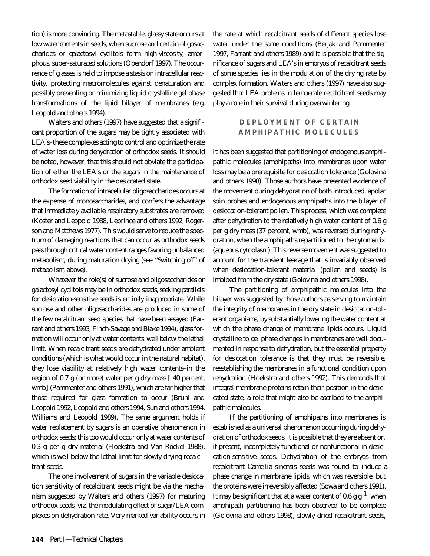tion) is more convincing. The metastable, glassy state occurs *at low water contents* in seeds, when sucrose and certain oligosaccharides or galactosyl cyclitols form high-viscosity, amorphous, super-saturated solutions (Obendorf 1997). The occurrence of glasses is held to impose a stasis on intracellular reactivity, protecting macromolecules against denaturation and possibly preventing or minimizing liquid crystalline gel phase transformations of the lipid bilayer of membranes (e.g. Leopold and others 1994).

Walters and others (1997) have suggested that a significant proportion of the sugars may be tightly associated with LEA's–these complexes acting to control and optimize the rate of water loss during dehydration of orthodox seeds. It should be noted, however, that this should not obviate the participation of either the LEA's or the sugars in the maintenance of orthodox seed viability in the desiccated state.

The formation of intracellular oligosaccharides occurs at the expense of monosaccharides, and confers the advantage that immediately available respiratory substrates are removed (Koster and Leopold 1988, Leprince and others 1992, Rogerson and Matthews 1977). This would serve to reduce the spectrum of damaging reactions that can occur as orthodox seeds pass through critical water content ranges favoring unbalanced metabolism, during maturation drying (see *"Switching off" of metabolism*, above).

Whatever the role(s) of sucrose and oligosaccharides or galactosyl cyclitols may be in orthodox seeds, *seeking parallels for desiccation-sensitive seeds is entirely inappropriate*. While sucrose and other oligosaccharides are produced in some of the few recalcitrant seed species that have been assayed (Farrant and others 1993, Finch-Savage and Blake 1994), glass formation will occur only at water contents *well below* the lethal limit. When recalcitrant seeds are dehydrated under ambient conditions (which is what would occur in the natural habitat), they lose viability at relatively high water contents–in the region of 0.7 g (or more) water per g dry mass [ 40 percent, wmb] (Pammenter and others 1991), which are *far* higher that those required for glass formation to occur (Bruni and Leopold 1992, Leopold and others 1994, Sun and others 1994, Williams and Leopold 1989). The same argument holds if water replacement by sugars is an operative phenomenon in orthodox seeds; this too would occur only at water contents of 0.3 g per g dry material (Hoekstra and Van Roekel 1988), which is well below the lethal limit for slowly drying recalcitrant seeds.

The one involvement of sugars in the variable desiccation sensitivity of recalcitrant seeds might be via the mechanism suggested by Walters and others (1997) for maturing orthodox seeds, *viz.* the modulating effect of sugar/LEA complexes on dehydration rate. Very marked variability occurs in the rate at which recalcitrant seeds of different species lose water under the same conditions (Berjak and Pammenter 1997, Farrant and others 1989) and it is possible that the significance of sugars and LEA's in embryos of recalcitrant seeds of some species lies in the modulation of the drying rate by complex formation. Walters and others (1997) have also suggested that LEA proteins in temperate recalcitrant seeds may play a role in their survival during overwintering.

#### **DEPLOYMENT OF CERTAIN AMPHIPATHIC MOLECULES**

It has been suggested that partitioning of endogenous amphipathic molecules (amphipaths) into membranes upon water loss may be a prerequisite for desiccation tolerance (Golovina and others 1998). Those authors have presented evidence of the movement during dehydration of both introduced, apolar spin probes and endogenous amphipaths into the bilayer of desiccation-tolerant pollen. This process, which was complete after dehydration to the relatively high water content of 0.6 g per g dry mass (37 percent, wmb), was reversed during rehydration, when the amphipaths repartitioned to the cytomatrix (aqueous cytoplasm). This reverse movement was suggested to account for the transient leakage that is invariably observed when desiccation-tolerant material (pollen and seeds) is imbibed from the dry state (Golovina and others 1998).

The partitioning of amphipathic molecules into the bilayer was suggested by those authors as serving to maintain the integrity of membranes in the dry state in desiccation-tolerant organisms, by substantially lowering the water content at which the phase change of membrane lipids occurs. Liquid crystalline to gel phase changes in membranes are well documented in response to dehydration, but the essential property for desiccation tolerance is that they must be reversible, reestablishing the membranes in a functional condition upon rehydration (Hoekstra and others 1992). This demands that integral membrane proteins retain their position in the desiccated state, a role that might also be ascribed to the amphipathic molecules.

If the partitioning of amphipaths into membranes is established as a universal phenomenon occurring during dehydration of orthodox seeds, it is possible that they are absent or, if present, incompletely functional or nonfunctional in desiccation-sensitive seeds. Dehydration of the embryos from recalcitrant *Camellia sinensis* seeds was found to induce a phase change in membrane lipids, which was reversible, but the proteins were irreversibly affected (Sowa and others 1991). It may be significant that at a water content of 0.6 g  $g^{-1}$ , when amphipath partitioning has been observed to be complete (Golovina and others 1998), slowly dried recalcitrant seeds,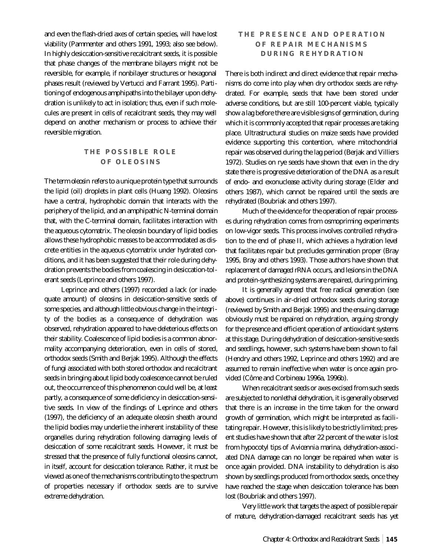and even the flash-dried axes of certain species, will have lost viability (Pammenter and others 1991, 1993; also see below). In highly desiccation-sensitive recalcitrant seeds, it is possible that phase changes of the membrane bilayers might not be reversible, for example, if nonbilayer structures or hexagonal phases result (reviewed by Vertucci and Farrant 1995). Partitioning of endogenous amphipaths into the bilayer upon dehydration is unlikely to act in isolation; thus, even if such molecules are present in cells of recalcitrant seeds, they may well depend on another mechanism or process to achieve their reversible migration.

#### **THE POSSIBLE ROLE OF OLEOSINS**

The term *oleosin* refers to a unique protein type that surrounds the lipid (oil) droplets in plant cells (Huang 1992). Oleosins have a central, hydrophobic domain that interacts with the periphery of the lipid, and an amphipathic N-terminal domain that, with the C-terminal domain, facilitates interaction with the aqueous cytomatrix. The oleosin boundary of lipid bodies allows these hydrophobic masses to be accommodated as discrete entities in the aqueous cytomatrix under hydrated conditions, and it has been suggested that their role during dehydration prevents the bodies from coalescing in desiccation-tolerant seeds (Leprince and others 1997).

Leprince and others (1997) recorded a lack (or inadequate amount) of oleosins in desiccation-sensitive seeds of some species, and although little obvious change in the integrity of the bodies as a consequence of dehydration was observed, rehydration appeared to have deleterious effects on their stability. Coalescence of lipid bodies is a common abnormality accompanying deterioration, even in cells of stored, orthodox seeds (Smith and Berjak 1995). Although the effects of fungi associated with both stored orthodox and recalcitrant seeds in bringing about lipid body coalescence cannot be ruled out, the occurrence of this phenomenon could well be, at least partly, a consequence of some deficiency in desiccation-sensitive seeds. In view of the findings of Leprince and others (1997), the deficiency of an adequate oleosin sheath around the lipid bodies may underlie the inherent instability of these organelles during rehydration following damaging levels of desiccation of some recalcitrant seeds. However, it must be stressed that the presence of fully functional oleosins cannot, in itself, account for desiccation tolerance. Rather, it must be viewed as one of the mechanisms contributing to the spectrum of properties necessary if orthodox seeds are to survive extreme dehydration.

## **THE PRESENCE AND OPERATION OF REPAIR MECHANISMS DURING REHYDRATION**

There is both indirect and direct evidence that repair mechanisms do come into play when dry orthodox seeds are rehydrated. For example, seeds that have been stored under adverse conditions, but are still 100-percent viable, typically show a lag before there are visible signs of germination, during which it is commonly accepted that repair processes are taking place. Ultrastructural studies on maize seeds have provided evidence supporting this contention, where mitochondrial repair was observed during the lag period (Berjak and Villiers 1972). Studies on rye seeds have shown that even in the dry state there is progressive deterioration of the DNA as a result of endo- and exonuclease activity during storage (Elder and others 1987), which cannot be repaired until the seeds are rehydrated (Boubriak and others 1997).

Much of the evidence for the operation of repair processes during rehydration comes from osmopriming experiments on low-vigor seeds. This process involves controlled rehydration to the end of phase II, which achieves a hydration level that facilitates repair but precludes germination proper (Bray 1995, Bray and others 1993). Those authors have shown that replacement of damaged rRNA occurs, and lesions in the DNA and protein-synthesizing systems are repaired, during priming.

It is generally agreed that free radical generation (see above) continues in air-dried orthodox seeds during storage (reviewed by Smith and Berjak 1995) and the ensuing damage obviously must be repaired on rehydration, arguing strongly for the presence and efficient operation of antioxidant systems at this stage. During dehydration of desiccation-sensitive seeds and seedlings, however, such systems have been shown to fail (Hendry and others 1992, Leprince and others 1992) and are assumed to remain ineffective when water is once again provided (Côme and Corbineau 1996a, 1996b).

When recalcitrant seeds or axes excised from such seeds are subjected to nonlethal dehydration, it is generally observed that there is an increase in the time taken for the onward growth of germination, which might be interpreted as facilitating repair. However, this is likely to be strictly limited; present studies have shown that after 22 percent of the water is lost from hypocotyl tips of *Avicennia marina*, dehydration-associated DNA damage can no longer be repaired when water is once again provided. DNA instability to dehydration is also shown by seedlings produced from orthodox seeds, once they have reached the stage when desiccation tolerance has been lost (Boubriak and others 1997).

Very little work that targets the aspect of possible repair of mature, dehydration-damaged recalcitrant seeds has yet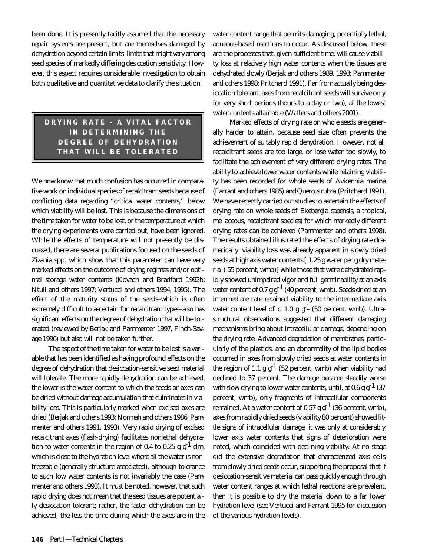been done. It is presently tacitly assumed that the necessary repair systems are present, but are themselves damaged by dehydration beyond certain limits–limits that might vary among seed species of markedly differing desiccation sensitivity. However, this aspect requires considerable investigation to obtain both qualitative and quantitative data to clarify the situation.

# **DRYING RATE - A VITAL FACTOR IN DETERMINING THE DEGREE OF DEHYDRATION THAT WILL BE TOLERATED**

We now know that much confusion has occurred in comparative work on individual species of recalcitrant seeds because of conflicting data regarding "critical water contents," below which viability will be lost. This is because the dimensions of the *time* taken for water to be lost, or the temperature at which the drying experiments were carried out, have been ignored. While the effects of temperature will not presently be discussed, there are several publications focused on the seeds of *Zizania* spp. which show that this parameter can have very marked effects on the outcome of drying regimes and/or optimal storage water contents (Kovach and Bradford 1992b; Ntuli and others 1997; Vertucci and others 1994, 1995). The effect of the maturity status of the seeds–which is often extremely difficult to ascertain for recalcitrant types–also has significant effects on the degree of dehydration that will be tolerated (reviewed by Berjak and Pammenter 1997, Finch-Savage 1996) but also will not be taken further.

The aspect of the *time* taken for water to be lost is a variable that has been identified as having profound effects on the degree of dehydration that desiccation-sensitive seed material will tolerate. The more rapidly dehydration can be achieved, the lower is the water content to which the seeds or axes can be dried without damage accumulation that culminates in viability loss. This is particularly marked when excised axes are dried (Berjak and others 1993; Normah and others 1986; Pammenter and others 1991, 1993). Very rapid drying of excised recalcitrant axes (flash-drying) facilitates nonlethal dehydration to water contents in the region of 0.4 to 0.25 g  $g<sup>1</sup>$  dm, which is close to the hydration level where all the water is nonfreezable (generally structure-associated), although tolerance to such low water contents is not invariably the case (Pammenter and others 1993). It must be noted, however, that such rapid drying does *not* mean that the seed tissues are potentially desiccation tolerant; rather, the faster dehydration can be achieved, the less the time during which the axes are in the

**146** *Part I—Technical Chapters*

water content range that permits damaging, potentially lethal, aqueous-based reactions to occur. As discussed below, these are the processes that, given sufficient time, will cause viability loss at relatively high water contents when the tissues are dehydrated slowly (Berjak and others 1989, 1993; Pammenter and others 1998; Pritchard 1991). Far from actually being desiccation tolerant, axes from recalcitrant seeds will survive only for very short periods (hours to a day or two), at the lowest water contents attainable (Walters and others 2001).

Marked effects of drying rate on whole seeds are generally harder to attain, because seed size often prevents the achievement of suitably rapid dehydration. However, not all recalcitrant seeds are too large, or lose water too slowly, to facilitate the achievement of very different drying rates. The ability to achieve lower water contents while retaining viability has been recorded for whole seeds of *Avicennia marina* (Farrant and others 1985) and *Quercus rubra* (Pritchard 1991). We have recently carried out studies to ascertain the effects of drying rate on whole seeds of *Ekebergia capensis*, a tropical, meliaceous, recalcitrant species) for which markedly different drying rates can be achieved (Pammenter and others 1998). The results obtained illustrated the effects of drying rate dramatically: viability loss was already apparent in slowly dried seeds at high axis water contents [ 1.25 g water per g dry material ( 55 percent, wmb)] while those that were dehydrated rapidly showed unimpaired vigor and full germinability at an axis water content of 0.7 g  $g^{-1}$  (40 percent, wmb). Seeds dried at an intermediate rate retained viability to the intermediate axis water content level of  $c. 1.0 g g<sup>1</sup>$  (50 percent, wmb). Ultrastructural observations suggested that different damaging mechanisms bring about intracellular damage, depending on the drying rate. Advanced degradation of membranes, particularly of the plastids, and an abnormality of the lipid bodies occurred in axes from slowly dried seeds at water contents in the region of 1.1 g  $g^{-1}$  (52 percent, wmb) when viability had declined to 37 percent. The damage became steadily worse with slow drying to lower water contents, until, at  $0.6$  g g<sup>-1</sup> (37) percent, wmb), only fragments of intracellular components remained. At a water content of 0.57 g  $g^{-1}$  (36 percent, wmb), axes from rapidly dried seeds (viability 80 percent) showed little signs of intracellular damage; it was only at considerably lower axis water contents that signs of deterioration were noted, which coincided with declining viability. At no stage did the extensive degradation that characterized axis cells from slowly dried seeds occur, supporting the proposal that if desiccation-sensitive material can pass quickly enough through water content ranges at which lethal reactions are prevalent, then it is possible to dry the material down to a far lower hydration level (see Vertucci and Farrant 1995 for discussion of the various hydration levels).